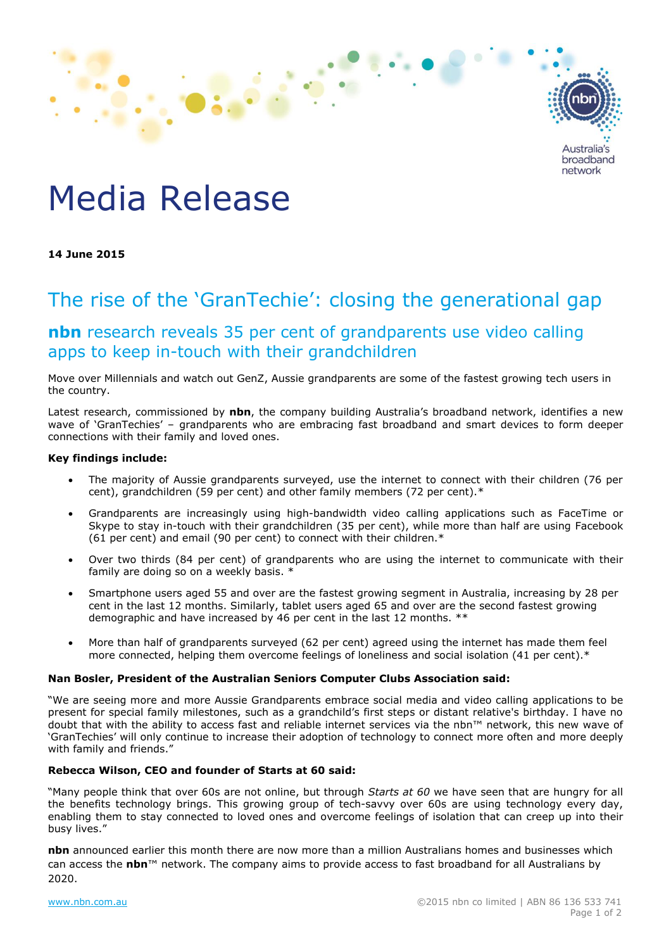

# Media Release

**14 June 2015**

## The rise of the 'GranTechie': closing the generational gap

### **nbn** research reveals 35 per cent of grandparents use video calling apps to keep in-touch with their grandchildren

Move over Millennials and watch out GenZ, Aussie grandparents are some of the fastest growing tech users in the country.

Latest research, commissioned by **nbn**, the company building Australia's broadband network, identifies a new wave of 'GranTechies' – grandparents who are embracing fast broadband and smart devices to form deeper connections with their family and loved ones.

#### **Key findings include:**

- The majority of Aussie grandparents surveyed, use the internet to connect with their children (76 per cent), grandchildren (59 per cent) and other family members (72 per cent).\*
- Grandparents are increasingly using high-bandwidth video calling applications such as FaceTime or Skype to stay in-touch with their grandchildren (35 per cent), while more than half are using Facebook (61 per cent) and email (90 per cent) to connect with their children.\*
- Over two thirds (84 per cent) of grandparents who are using the internet to communicate with their family are doing so on a weekly basis. \*
- Smartphone users aged 55 and over are the fastest growing segment in Australia, increasing by 28 per cent in the last 12 months. Similarly, tablet users aged 65 and over are the second fastest growing demographic and have increased by 46 per cent in the last 12 months. \*\*
- More than half of grandparents surveyed (62 per cent) agreed using the internet has made them feel more connected, helping them overcome feelings of loneliness and social isolation (41 per cent).\*

#### **Nan Bosler, President of the Australian Seniors Computer Clubs Association said:**

"We are seeing more and more Aussie Grandparents embrace social media and video calling applications to be present for special family milestones, such as a grandchild's first steps or distant relative's birthday. I have no doubt that with the ability to access fast and reliable internet services via the nbn™ network, this new wave of 'GranTechies' will only continue to increase their adoption of technology to connect more often and more deeply with family and friends."

#### **Rebecca Wilson, CEO and founder of Starts at 60 said:**

"Many people think that over 60s are not online, but through *Starts at 60* we have seen that are hungry for all the benefits technology brings. This growing group of tech-savvy over 60s are using technology every day, enabling them to stay connected to loved ones and overcome feelings of isolation that can creep up into their busy lives."

**nbn** announced earlier this month there are now more than a million Australians homes and businesses which can access the **nbn**™ network. The company aims to provide access to fast broadband for all Australians by 2020.